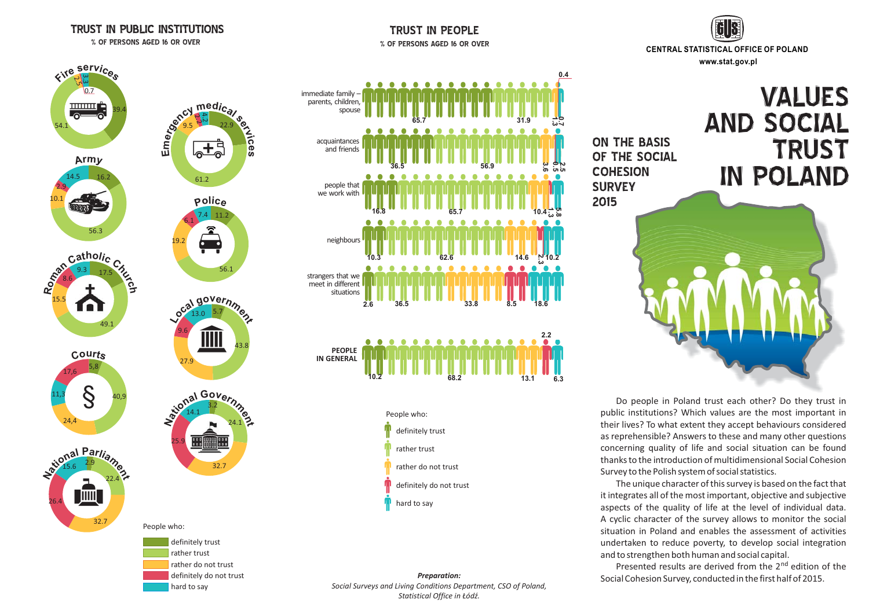# TRUST IN PUBLIC INSTITUTIONS

% OF PERSONS AGED 16 OR OVER

#### TRUST IN PEOPLE R 16 OR OVER 16 OR OVER 16 OR OVER 16 OR OVER 16 OR OVER 16 OR OVER















Social Cohesion Survey, conducted in the first half of 2015. *Preparation: Social Surveys and Living Conditions Department, CSO of Poland, Statistical Office in Łódź.*



Do people in Poland trust each other? Do they trust in public institutions? Which values are the most important in their lives? To what extent they accept behaviours considered as reprehensible? Answers to these and many other questions concerning quality of life and social situation can be found thanks to the introduction of multidimensional Social CohesionSurvey to the Polish system of social statistics.

The unique character of this survey is based on the fact that it integrates all of the most important, objective and subjective aspects of the quality of life at the level of individual data. A cyclic character of the survey allows to monitor the social situation in Poland and enables the assessment of activities undertaken to reduce poverty, to develop social integration and to strengthen both human and social capital.

Presented results are derived from the 2<sup>nd</sup> edition of the